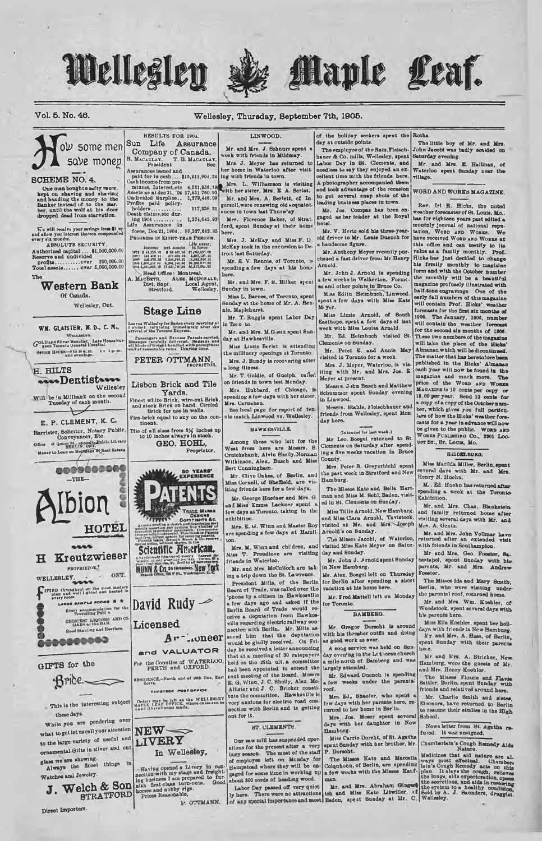#### Vol. 5. No. 46.

#### Wellesley, Thursday, September 7th, 1905.

 $0\nu$  some men save monep **SCHEME NO. 4.** 

Wellesley

RESULTS FOR 1904.

Sun Life Assurance

Company of Canada.

R. MACAULAY, T. B. MACAULAY, President Boo.

force, Dec 21, 1904... 85,327,662.85

 $\begin{minipage}{0.9\textwidth} \begin{minipage}{0.9\textwidth} \begin{tabular}{l} \textbf{10.04}\footnotesize & \textbf{10.04}\footnotesize & \textbf{1.04}\footnotesize & \textbf{1.04}\footnotesize & \textbf{1.04}\footnotesize & \textbf{1.04}\footnotesize & \textbf{1.04}\footnotesize & \textbf{1.04}\footnotesize & \textbf{1.04}\footnotesize & \textbf{1.04}\footnotesize & \textbf{1.04}\footnotesize & \textbf{1.04}\footnotesize & \textbf{1.04}\footnotesize & \textbf{1.04}\footnotesize &$ 

**Stage Line** 

Leaves Wellseley for Badenevery morning at<br>
i o'clock, returning tinumliately after the<br>
exival of the Toronto Express.

Passengers and Express Parcels carried<br>Measuges carefully delivered, Haggags and<br>all kinds of freight bandled with promptness<br>and at reasonable rates. Draying done.

PETER OTTMANN

Lisbon Brick and Tile

Yards.

Fine-t white Brick, wire-out Brick<br>and stock Brick on hand. Circled<br>Brick for use in wells.

Fire-brick equal to any on the con

Tile of all sizes from  $\frac{1}{2}$  the ches up to 10 inches always in stock.

Proprietor.

A. MACBETH, At Dist. Snpt.<br>Biratford.

Read Office: Montreal.<br>Read Office: Montreal.<br>Read: ALEX. McDONALD.<br>Dist. Sippt. Local Agent.<br>Stratford. Wellesley.

Charles and banging and shaving<br>the man banging and shaving<br>and handing the money to the<br>Banker instead of to the har-<br>through the wolf at his door<br>dropped dead from starvation.

We will recalve your savings from \$1 or<br>d allow you interest thereon compounded<br>ery six months.

ala months.<br>ABSOLUTE SECURITY Authorized capital ....\$1,000,000.00<br>Reserve and undivided The

Western Bank Of Canada.

Wellesley, Ont.

#### WM. GLAISTER, N. D., C. N., VELLESLEY.

GOLD and Silver Medalist. Late House Sur OFFICE HOURS-8 to 10 a.m. 1 t 1 p.m.<br>and evenings.

H. HILTS sossDentistsses Wellesley Will be in Millbank on the sec

 $\overrightarrow{v}$ E. P. CLEMENT, K. C.

Harrister, Solicitor, Notary Public, **COB THE COMMUNITY AND STATE OF A CAMPUS AND SERIES OF A SERIES OF A STATE OF A SERIES OF PARTIES OF PARTIES OF A SERIES OF PARTIES OF A SERIES OF PARTIES OF A SERIES OF PARTIES OF A SERIES OF PARTIES OF A SERIES OF A SERI** 

GIFTS for the

 $Bribe \nightharpoonup$ 

This is the interesting subject these days.

While you are pondering over

what to get let us call your attention

to the large variety of useful and

ornamental Gifts in silver and cut

J. Welch & Son

**STRATFORD** 

in

glass we are showing.<br>Always the finest things

Watches and Jewelry.

Direct Importers



TRADE MARKS Com Scientific American. llustrated wealty. Large<br>| scontific journal. Term<br>| ha, \$1. Sold by all nowed MUNN & Co. 361 Broadway, New Tork

## Licensed Ar Loneer

and VALUATOR For the Counties of WATERLOO PERTH and OXFORD.

REMIDENCE,-North and of 16th line, East TAVISTOOK POST OFFICE



LIVERY In Wellesley,

-Having opened a Livery in our-<br>nection with my stage and freight-<br>ing business I am propared to fur-<br>nish first-class term-outs. Good<br>horse and nobby rigs.<br>Prices Reasonable,

P. OTTMANN.

LINWOOD. Mr. and Mrs. J. Sobnurr spent week with friends in Mildmay. Mrs. J. Meyer has returned

President and the home in Waterland to the set and the home in Waterloo after visit<br>Assumence is and the home in Waterloo after visit<br>paid for in cash ...,\$15,911,904.24 ing with friends in town.<br>Cash income from pre-<br>min

here. Mrs. J. McKay and Miss F. D.

McKay took in the e e excursion to De Mr. E. V. Rennie, of Toronto, pending a few days at his home

Mr. and Mrs. F. S. Hilker spent Sunday in town.

Miss L. Barnes, of Torcuto, spen lay at the home of Mr. A. Rennie, Maplehurst.

Mr. T. Ruggle spent Labor Day in Toro to Mr. and Mrs. M.Goetz spent Sun-

day at Hawkesville. Miss Lizzie Berlet is attending

the millinery openings at Toronto. Mrs. J. Bundy is recovering after long iliness Mr. T. Goldie, of Guolph, called

on friends in town last Monday. Mrs. Hubbard, of Chicago, wonding a fow days with hor sister,

Mrs. Carnahan.<br>Bee local page for report of ten

nis match Linwood vs. Wellesley.

### **BAWKENVILLE**

Among those who left for the West from here are Mesurs. 8.<br>Cruickshank, Alvin Shelly.Norman Wilkinson, Alex. Busch and Miss Bert Cunningham.

Mr. Clive Oakes, of Berlin, and Miss Cornell, of Sheffield, are v<br>iting friends here for a few days.  $\overline{\text{vin}}$ 

Mr. George Huefner and Mrs. G. and Miss Emma Lackner spont a fow days at Toronto, taking in the exhibition.

Mrs. E. G. Winn and Master Roy are spending a few days at Hamilton

Mrs. M. Winn and children, and Miss T. Proudlove are visiting friends in Waterloo.

Mr. and Mrs. McCulloch are taking a trip down the St. Lawrence. President Mills, of the Berlin<br>Board of Trade, was called over the Board of Trade, was called over the phone by a citizen in Earsteaville<br>a fow days ago and arked if the Berlin Board of Trade would re-<br>celve a deputation from Earstein with properties a deputation from Earstein<br>properties day he recoived a locate and<br>outing of 30 ratepayers<br>held on the 29th ult. a committee<br>held on the 29th ult. a committee<br>heard the board. Monder<br>E. G. Vinn, J. C. Bhelly, Alex. Mo-<br>Allister and J. C. Bhelly, Alex. Mo-<br>Alli Allistor and J. C. Bruxer conservation is<br>to the committee of the solution of the set of the set of the set of the set of the set of the set of the set of the set of the set of the set of the set of the set of the set of t

#### **BT. CLEMENTS**

Our saw mill has suspeaded oper ations for the present after a very buy season. The most of the staff of employee left on Monday for<br>Hampstead where they will be engaged for some time in working up<br>about 200 cords of beading wood.

Labor Day passed off very quiet-<br>ly here. There were no attractions<br>of any special importance and most

of the holiday seekers spent the Roths.

Maple Leaf.

day at outside points. The employes of the Ratz, Fleisch haner & Co. mills, Wellesley, spent<br>Labor Day in St. Clements, and needless to say they enjoyed an ex cellent time mith the friends here to get several snap shots of the

Mr. Jos. Compas has been one gaged as bar tender at the Royal hotal.

Mr. V. Heric sold his three-year old driver to Mr. Lonis Duench for a handsome figure.

Mr. Anthony Moyer recently purchased a fast driver from Mr. Henry Arnold.

Mr. John J. Arnold is spending<br>a few weeks in Walkerton. Forme. and other points in Bruce Co.

Miss Edith Heimbuch, Linwood, spont a fow days with Miss Kate

Miss Lizzie Arnold, of 8 Easthope, spent a few days of iast<br>week with Miss Louisa Arnold. Mr. Ed. Heimbach visited St.

Clements on Bunday. Mr. Petet E. and Annie May<br>isited in Toronto for a week.

Mrs. J. Meyer, Waterloo, is visiting with Mr. and Mrs. Jos. E.<br>Meyer at present.

Messrs. John Busch and Matthew

Schummer spent Sunday evening

Mesers. Stable, Pleischbauer friends from Wellesley, spent Mon day here.

(Intended for last week.)

Mr Leo. Boogel returned to St.<br>Clements on Saturday after spending a five weeks vacation in Bruce Co mty

Mrs. Peter B. Greyerbichl sp the part week in Stratford and New<br>Hamburg.

The Missos Eate and Bella Ha man and Miss M. Sebl, Baden, visit ed in St. Clements on Sunday.

Miss Tillie Arnold, New Hamburg nd Miss Clars Arnold, Tavistook visited at Mr. and Mrs. Joseph Arnold's on Sunday.

The Misses Jacobi, of Waterloo, visited Miss Kate Meyer on Satur-

day and Sunday. Mr. John J. Arnold spent Bunday in New Hamburg.

Mr. Alex. Boogel left on Thursday<br>for Berlin after spending a short vacation at his home here.

Mr. Fred Mattell left on Monday for Toronto.

#### BAMBERG.

Mr. Gregor Dorscht is around with his thresher outfit and doing<br>as good work as ever.

A cong service was held on Sun-<br>day evening in the Li theranchurch a mile north of Bamberg and was largely attended.

Mr. Edward Duench is spending weeks under the parental a fow roof.

Mrs. Ed. Shaofer, who spent fow days with her parents here, re-

Mrs. Jos. Moser spent several<br>lays with her daughter in New days Hamburg.

Miss Carrie Dorsht, of St. Agatha<br>spent Sunday with ber brother, Mr.

The little boy of Mr. and Mrs.<br>John Jacobi was badly scalded on Saturday evening.

Caturusy evening.<br>Mr. and Mrs. E. Hallman, of<br>Waterloo spent Sunday near the village.

WORD AND WORKS MAGAZINE.

Rev. Irl R. Hicks, the noted woather forecaster of St. Louis, Mo., weather forecaster of St. Louis, Mo., has for eighteen years past edicts a monthly journal of national reputation. We have received Women an Womme at this office and can testify to its value as a family monthly. Pref. Rich ricks ass just decided to obange<br>his frmily monthly to magizine<br>form and with the Ootober number<br>the monthly will be a beautiful<br>magazine profusely illustrated with magazine protusely illustrated what<br>half-tone engravings. One of the magazine<br>esity fall numbers of this magazine<br>will contain Prof. Hicks' weather<br>forecasts for the first six months of once<br>forecasts for the first six months of<br>1906. The January, 1906, number<br>will contain the weather forecast for the second six months of 1906. will take the place of the Highands will take the place of the Highands. published in the Bicks' Alm cach year will now be found in the magazine and much more. The price of the WORD AND WORES price of the Womb and Wombard Months and Macazine is 10 conta per copy of the October number of the best per point of the original per signal per performance of the original per signal per signal per signal per signal per casts for a year in advance will now be given to the public. Wonn and

UST ST., ST. LOUIS, MO.

#### **HEDELBURG**

Miss Matilda Miller, Berlin, spent several days with Mr. and Mrs.<br>Henry N. Huehn.

M. Ed. Huchn has returned after<br>pending a week at the Toronto Exhibition.

Mr. and Mrs. Chas. Blankstein and family returned home after<br>visiting several days with Mr. and<br>Mrs. A. Gentz.

Mr. and Mrs. John Vollmar have<br>returned after an extended visit with friends in Southampton.

Mr and Mrs. Geo. Foester, Sabastapol, spent Sunday with his Foester.

The Misses Ida and Mary Smith, Berlin, who were visiting under the parental roof, returned home.

Mr. and Mrs. Wm. Koehler, of Woodstock, spent several days with his parents hero.

Miss Ella Koehler, spent her holidays with friends in New Hamburg N'r. and Mrs. A. Hass, of Berlin,<br>spent Sunday with their parents hoi o.

Mr. and Mrs. A. Stricker, New. Hamburg, were the guests of Mr.

The Misses Flossie and Flavis<br>Sattler, Berlin, spent Sunday with<br>friends and relatives around here.

Mr. Charlie Smith and sistes.<br>Eleonora, have returned to Berlin to resume their studies in the High

School.

Nows letter from St. Agatha re-

Chamberlain's Cough Remedy Aids

The Misson Kate and Marcolla Modicines that all the Misson Color Path and Alder and Marcolla ways most effecting in the property of Berlin are spending latin's Cooph Renedy acts on this property of Berlin and Marcolla Coop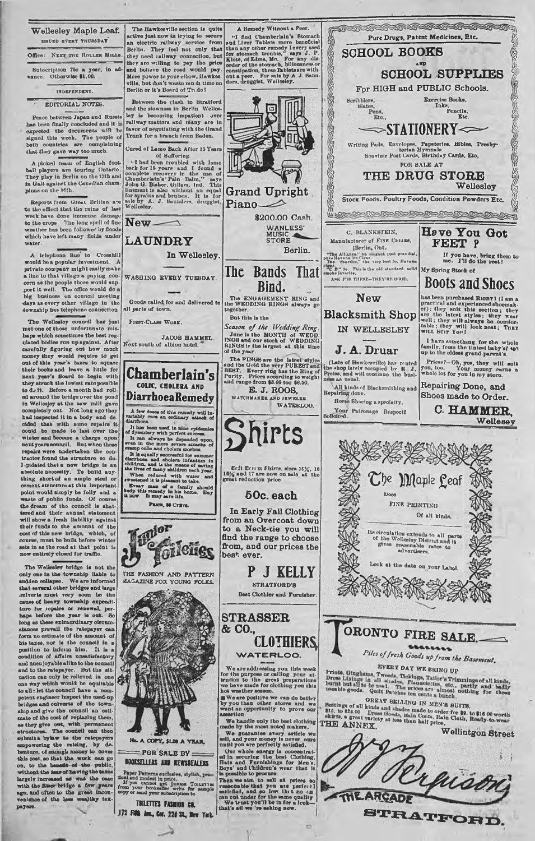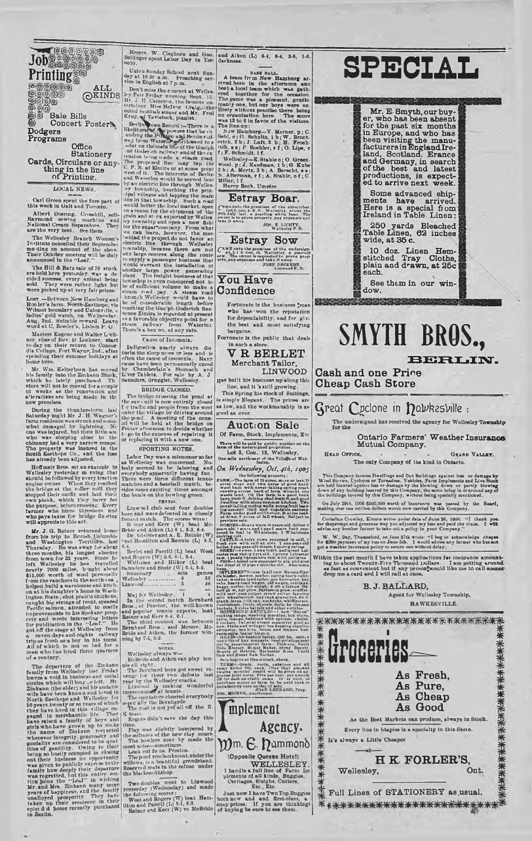ALL<br>
OKINDS Sale Bills<br>Concert Poster& Dodgers Programs

Job

**Printing** 

Office Stationery Cards, Circulars or any-<br>thing in the line<br>of Printing.

LOCAL NEWS

Carl Green spent the fore part<br>this week in Galt and Toronto.

Albert Doering, Crowhill, sells<br>Raymond aewing machine and<br>National Cream Separators. They<br>are the very best. See them

are two very cest. exc them<br>The Wellesley Branch Women's<br>In-titate cancelled their September<br>me thig on account of the show.<br>Their October meeting will be duly<br>announced in the "Leaf."

The Hill & Ratz sale of 70 stork.<br>
The Hill & Ratz sale of 70 stork.<br>
ers held here yesterday was a decided success, every sammal being<br>
such They were rather light but<br>
were picked up at very fair prices.

Loer.--Between New-Hamburg and Nober's James Theodore of Wilmot boundary and Union Wilmot boundary and Union Welley and Union Indiana Ang, 22nd Angles and Nobel and North Word at C. Reader's Lisbon P. O

Nasters Engene and Walter Lech-<br>her, rons of kev. D. Locher, start of the to-day on their return to Concordia<br>to-day on their return to Concor-<br>pending their summer holidays at<br>pending their summer holidays at<br>home here.

nous norses.<br>
Mr. Wm. Kelterborn has moved<br>
his family into the Zinkann Block,<br>
which he lately parchased. The<br>
store will not be moved for a couple<br>
of vecks as the renovation and<br>
a'terations are being made in the<br>
now p

now promises.<br>
During the thunderstorm last<br>
During the thunderstorm last<br>
Baturday mght Mr J. H. Wagner's<br>
farm realdence was singing above to the<br>
what damaged by lightning. Ne<br>
one was injured, but their little son<br>
who

has already been adjusted.<br>
Hoffmelr Bros. set an example in<br>
Hoffmelr Bros. set an example in<br>
alonold bofolowed by cover prection<br>
along<br>the brongs of the brond of the brond stopped their could along the<br>
stopped their c

who pays taxes for bridge 10-ring<br>
will appreciate this act.<br>
We appreciate this act.<br>
Mr. J. G. Reiner returned home<br>
from his trip to British Columbia<br>
and Washington Territory- last<br>
three months, his longest absence f

in an who has lived three quarters<br>of a century.<br>The department of the Zinkann in<br>Leaves a rodd in business tand solid leaves a rodd in business and social<br>clustes which will long-to-fielt. Mr.<br>Einkann (the elder) and his

Me ars. W. Cleghorn and Geo.<br>cllinger spent Labor Day in Tor.

 $_{\text{out}}$ 

Mesers. W. Cleghorn and Geo.<br>Ballinger spont Labor Day in Toric Bullinger spont Labor Day in Toric on<br>too loop and the standing School next sumpling service in English at<br> $7$  p.m. Treaching service in English at<br> $7$  p.m.

#### Cause of Insomnia.

t accounting the system of the line of the line of the state of the case have been permanently curved by cases have been permanently curved by Chamberlain's Stormach and Line The Street Robert Street, Figure 1, Street Robe

BRIDGE CLOSED.

The bridge crossing the pond at<br>the sav-nill is now entirely closed<br>r traffic and people from the west<br>nter the village by driving around she paid. A meeting of the counterpaid will be held at the bridge on<br>all will be held at the bridge on<br>Friday wittermoon to decide whether<br>by go to the expense of repairing it<br>or replacing it with a new one,

#### SPORTING NOTES

SPORTING NOTES.<br>
Labor Day was anisonore sofar<br>
Labor Day was anisonore of Labor Day was anisonored. No<br>
body separatity having and the laboring and the labor<br>
body spperantly having fun.<br>
There were there different tenni

6-4,<br>
Berlet and Parcill (L) beat West<br>
and Rogers (W) 3-6, 6-1, 6-4,<br>
Williams and Hilker (L) beat<br>
Sunnders and Sheir (W) 6-4, 6-4,

Summary sets games 52

48

| Linwood |  |  |  |  |  |  |  |
|---------|--|--|--|--|--|--|--|
|         |  |  |  |  |  |  |  |

Mej fer Wellesley.<br>
In the second match Bernhard<br>
Bros., of Preston, the well-known<br>
and popular tensine experts, best<br>
Reiner and Kerr 6.4, 6.1.<br>
The third contest was between<br>
Bernhard Bros., and Messrs.<br>
Mernhard Bros.,

ning by 7-5, 6-2.<br>
Wellesley always w-<br>
Melbride and Aiken can play ten-<br>
Melbride and Aiken can play ten-<br>
ni all right, all been treve detects<br>
year the Been there we detect the property that is interactional is<br>
improv

Rogers didn't save the day this<br>
ring,<br>
ring,<br>
ring, was slightly hampered by<br>
the softness of the new clay count-<br>
med the softness next py made the<br>
most noise-sometimes.<br>
Look at fo us, Preston.<br>
The pool rembanknent,<br>

and Aiken (L) 6-4, 6-4, 3-6, 1-6,

A deam from New Hamburg arms<br>
1948 Pata.<br>
1948 Pata Local team which was gath-<br>
1961 to all team which was gath-<br>
1976 path and the second of the constant<br>
1976 path of the constant path and the second in the second of the

f: F. Schmidt, 1f.<br>Wellcaley-E. Stable o; O. Green-<br>Wool, p. J. Keafman, 1 b; G. Kube<br>2 b; A. Mertz, 3 b; A. Berecht, a u,<br>Miller, If.<br>Miller, If.<br>Miller, If.<br>Miller, If.<br>Miller, If.<br>Miller, If.

Estray Boar. Chine and the praniese of the antacriber.<br>This a can L.E.S., Weilester, about the space of the land the space of the space of the original the original of the space of the space of the take it away. JOS E. LICHTY,

## Estray Sow

 $\begin{array}{l} C^{\text{AME onto the premass}} \\ C^{\text{AME onto the premass}} \\ \text{see} \quad \text{In a even in 10, Wallers, a year-odd} \\ \text{see} \quad \text{The event is required by a year-odd} \\ \text{in 1, as a year-leodes and that it was.} \\ \text{JOHS DES.} \\ \text{In a year-1000} \\ \text{In a year-1000} \\ \text{In a year-1000} \\ \text{In a year-1000} \\ \text{In a year-1000} \\ \text{In a year-1000} \\ \text{In a year-1000} \\ \text{In a year-1000} \\ \text{$ 

#### You Have Confidence

Fortunate is the business "man<br>who has won the reputation<br>for dependability, and for giv-<br>the best and most satisfying bargains.

Fortunate is the public that deals in such a stor

V R BERLET Merchant Tailor **LINWOOD** 

gas built his business up along this line, and it 's still growing.

This Spring his stock of Suitings. is simply Elegant. The prices are<br>as low, and the workmanship is as

#### **Auction Sale**

Of Farm, Stock, Implements, Etc

There will be sold by public ancience of the same of the same of the same line of the same state of the Sillar Control of the Sillar Control of the Sillar Sillar Control of the Sillar Control of the same of the same of th

 $\begin{tabular}{l|c|c|c|c|c} \hline \textbf{v} & \textbf{P} & \textbf{P} & \textbf{P} & \textbf{P} & \textbf{P} & \textbf{P} & \textbf{P} & \textbf{P} & \textbf{P} & \textbf{P} & \textbf{P} & \textbf{P} & \textbf{P} & \textbf{P} & \textbf{P} & \textbf{P} & \textbf{P} & \textbf{P} & \textbf{P} & \textbf{P} & \textbf{P} & \textbf{P} & \textbf{P} & \textbf{P} & \textbf{P} & \textbf{P} & \textbf{P} & \textbf$ 

relations, access of this were add, driver for the particle of the particle properties of the particle properties of the control of the control of the control of the control of the control of the control of the control of ram i postaje skopiske man velik politike na metale na stare i politike na stare i politike na stare i politike na stare i politike na stare i politike na stare i politike na stare i politike na stare i politike na stare





# SMYTH BROS.,

Cash and one Price **Cheap Cash Store** 

## ${\rm \ G}$ reat  ${\rm \ C}$ pclone in  ${\rm \ Y}$ a $\nu$ kes $\nu$ ille :

The undersigned has received the agency for Wollesley Township<br>for the

Ontario Farmers' Weather Insurance<br>Mutual Company.

**EERLIN.** 

HEAD OFFICE. GRAND VALLEY. The only Company of its kind in Ontario.

This Company insures Dwellings and Out Bulldings against loss or damage by Wind Sterrar, Cyclometor Tornadoss. Vehicles, Farm Implements and Live Stock and the stock of the stock of the stock of the stock of the stock of

On July 29th, 1905 \$500,000 worth of insurance was passed by the Board, making over one million dollars worth now carried by this Company.

cannot consider the Section of the Section of the Section Considered to the property of the Section of the property of the property of the section of the section of the section of the section of the section of the section or<br>for th<br>advise

W. W. Day, Thamesford, on June 27th wrote: "I beg to acknowledge chapse for \$200 payment of my less on June 3th. I would advise any farmer who has not got a weather insurance policy to secure one without delay.

Within the past month I have taken applications for insurance amounting to about Twenty-Five Thousand Dollars. I am getting around as fat as convenient but if any person'swould like me to call sooner drop me a card and I w

#### B. J. BALLARD.

Agent for Wellesley Township, HAWKESVILLE.